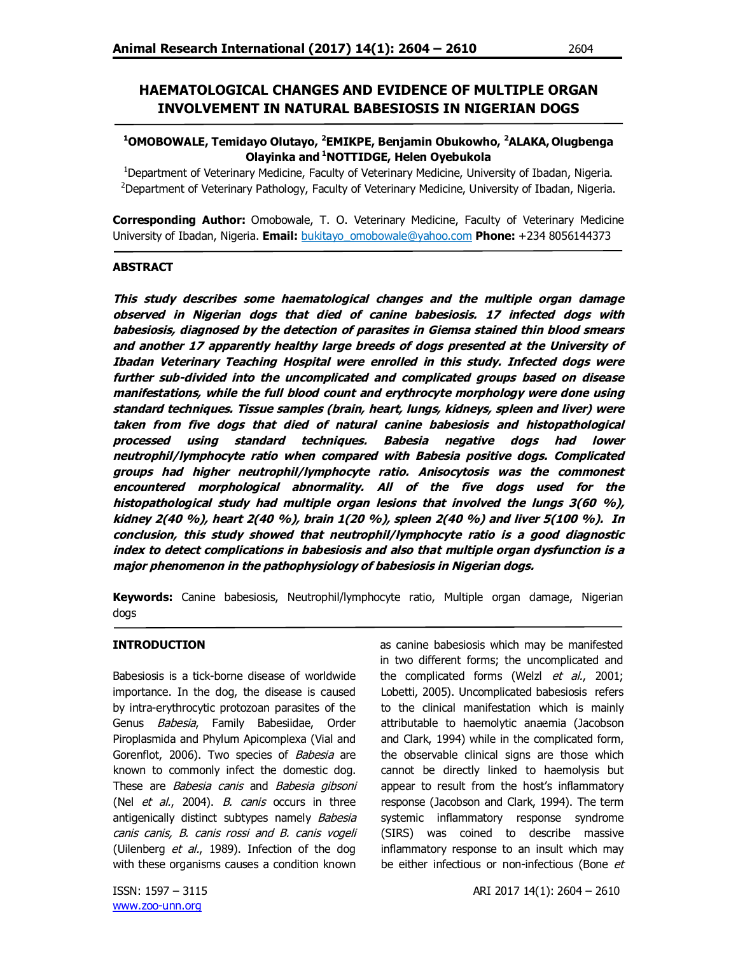# **HAEMATOLOGICAL CHANGES AND EVIDENCE OF MULTIPLE ORGAN INVOLVEMENT IN NATURAL BABESIOSIS IN NIGERIAN DOGS**

### **<sup>1</sup>OMOBOWALE, Temidayo Olutayo, <sup>2</sup>EMIKPE, Benjamin Obukowho, <sup>2</sup>ALAKA, Olugbenga Olayinka and <sup>1</sup>NOTTIDGE, Helen Oyebukola**

<sup>1</sup>Department of Veterinary Medicine, Faculty of Veterinary Medicine, University of Ibadan, Nigeria. <sup>2</sup>Department of Veterinary Pathology, Faculty of Veterinary Medicine, University of Ibadan, Nigeria.

**Corresponding Author:** Omobowale, T. O. Veterinary Medicine, Faculty of Veterinary Medicine University of Ibadan, Nigeria. **Email:** bukitayo\_omobowale@yahoo.com **Phone:** +234 8056144373

#### **ABSTRACT**

**This study describes some haematological changes and the multiple organ damage observed in Nigerian dogs that died of canine babesiosis. 17 infected dogs with babesiosis, diagnosed by the detection of parasites in Giemsa stained thin blood smears and another 17 apparently healthy large breeds of dogs presented at the University of Ibadan Veterinary Teaching Hospital were enrolled in this study. Infected dogs were further sub-divided into the uncomplicated and complicated groups based on disease manifestations, while the full blood count and erythrocyte morphology were done using standard techniques. Tissue samples (brain, heart, lungs, kidneys, spleen and liver) were taken from five dogs that died of natural canine babesiosis and histopathological processed using standard techniques. Babesia negative dogs had lower neutrophil/lymphocyte ratio when compared with Babesia positive dogs. Complicated groups had higher neutrophil/lymphocyte ratio. Anisocytosis was the commonest encountered morphological abnormality. All of the five dogs used for the histopathological study had multiple organ lesions that involved the lungs 3(60 %), kidney 2(40 %), heart 2(40 %), brain 1(20 %), spleen 2(40 %) and liver 5(100 %). In conclusion, this study showed that neutrophil/lymphocyte ratio is a good diagnostic index to detect complications in babesiosis and also that multiple organ dysfunction is a major phenomenon in the pathophysiology of babesiosis in Nigerian dogs.**

**Keywords:** Canine babesiosis, Neutrophil/lymphocyte ratio, Multiple organ damage, Nigerian dogs

#### **INTRODUCTION**

Babesiosis is a tick-borne disease of worldwide importance. In the dog, the disease is caused by intra-erythrocytic protozoan parasites of the Genus Babesia, Family Babesiidae, Order Piroplasmida and Phylum Apicomplexa (Vial and Gorenflot, 2006). Two species of Babesia are known to commonly infect the domestic dog. These are Babesia canis and Babesia gibsoni (Nel et al., 2004). B. canis occurs in three antigenically distinct subtypes namely Babesia canis canis, B. canis rossi and B. canis vogeli (Uilenberg et al., 1989). Infection of the dog with these organisms causes a condition known

as canine babesiosis which may be manifested in two different forms; the uncomplicated and the complicated forms (Welzl et al., 2001; Lobetti, 2005). Uncomplicated babesiosis refers to the clinical manifestation which is mainly attributable to haemolytic anaemia (Jacobson and Clark, 1994) while in the complicated form, the observable clinical signs are those which cannot be directly linked to haemolysis but appear to result from the host's inflammatory response (Jacobson and Clark, 1994). The term systemic inflammatory response syndrome (SIRS) was coined to describe massive inflammatory response to an insult which may be either infectious or non-infectious (Bone et

www.zoo-unn.org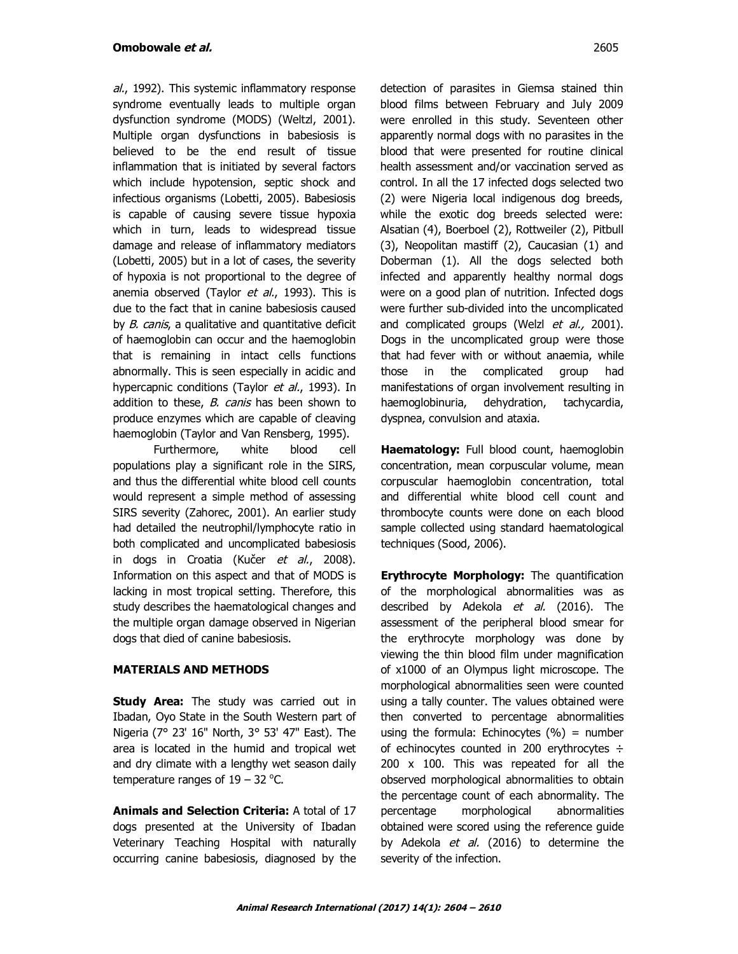al., 1992). This systemic inflammatory response syndrome eventually leads to multiple organ dysfunction syndrome (MODS) (Weltzl, 2001). Multiple organ dysfunctions in babesiosis is believed to be the end result of tissue inflammation that is initiated by several factors which include hypotension, septic shock and infectious organisms (Lobetti, 2005). Babesiosis is capable of causing severe tissue hypoxia which in turn, leads to widespread tissue damage and release of inflammatory mediators (Lobetti, 2005) but in a lot of cases, the severity of hypoxia is not proportional to the degree of anemia observed (Taylor et al., 1993). This is due to the fact that in canine babesiosis caused by B. canis, a qualitative and quantitative deficit of haemoglobin can occur and the haemoglobin that is remaining in intact cells functions abnormally. This is seen especially in acidic and hypercapnic conditions (Taylor et al., 1993). In addition to these, *B. canis* has been shown to produce enzymes which are capable of cleaving haemoglobin (Taylor and Van Rensberg, 1995).

Furthermore, white blood cell populations play a significant role in the SIRS, and thus the differential white blood cell counts would represent a simple method of assessing SIRS severity (Zahorec, 2001). An earlier study had detailed the neutrophil/lymphocyte ratio in both complicated and uncomplicated babesiosis in dogs in Croatia (Kučer et al., 2008). Information on this aspect and that of MODS is lacking in most tropical setting. Therefore, this study describes the haematological changes and the multiple organ damage observed in Nigerian dogs that died of canine babesiosis.

# **MATERIALS AND METHODS**

**Study Area:** The study was carried out in Ibadan, Oyo State in the South Western part of Nigeria (7° 23' 16" North, 3° 53' 47" East). The area is located in the humid and tropical wet and dry climate with a lengthy wet season daily temperature ranges of  $19 - 32$  °C.

**Animals and Selection Criteria:** A total of 17 dogs presented at the University of Ibadan Veterinary Teaching Hospital with naturally occurring canine babesiosis, diagnosed by the

detection of parasites in Giemsa stained thin blood films between February and July 2009 were enrolled in this study. Seventeen other apparently normal dogs with no parasites in the blood that were presented for routine clinical health assessment and/or vaccination served as control. In all the 17 infected dogs selected two (2) were Nigeria local indigenous dog breeds, while the exotic dog breeds selected were: Alsatian (4), Boerboel (2), Rottweiler (2), Pitbull (3), Neopolitan mastiff (2), Caucasian (1) and Doberman (1). All the dogs selected both infected and apparently healthy normal dogs were on a good plan of nutrition. Infected dogs were further sub-divided into the uncomplicated and complicated groups (Welzl et al., 2001). Dogs in the uncomplicated group were those that had fever with or without anaemia, while those in the complicated group had manifestations of organ involvement resulting in haemoglobinuria, dehydration, tachycardia, dyspnea, convulsion and ataxia.

**Haematology:** Full blood count, haemoglobin concentration, mean corpuscular volume, mean corpuscular haemoglobin concentration, total and differential white blood cell count and thrombocyte counts were done on each blood sample collected using standard haematological techniques (Sood, 2006).

**Erythrocyte Morphology:** The quantification of the morphological abnormalities was as described by Adekola *et al.* (2016). The assessment of the peripheral blood smear for the erythrocyte morphology was done by viewing the thin blood film under magnification of x1000 of an Olympus light microscope. The morphological abnormalities seen were counted using a tally counter. The values obtained were then converted to percentage abnormalities using the formula: Echinocytes  $(\%)$  = number of echinocytes counted in 200 erythrocytes ÷ 200 x 100. This was repeated for all the observed morphological abnormalities to obtain the percentage count of each abnormality. The percentage morphological abnormalities obtained were scored using the reference guide by Adekola et al. (2016) to determine the severity of the infection.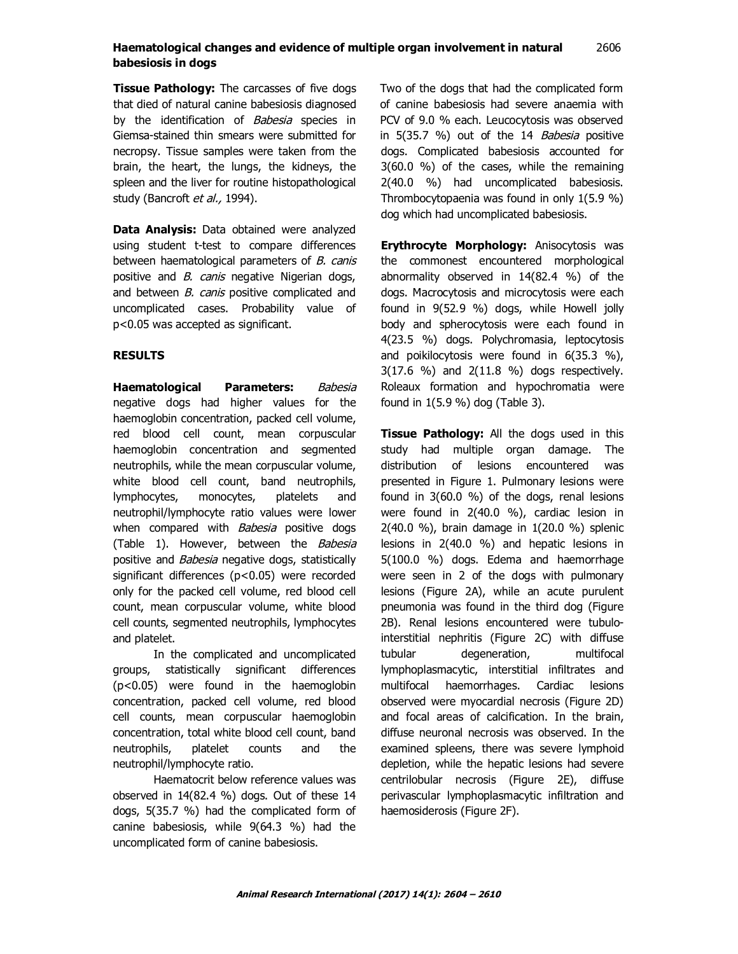# **Haematological changes and evidence of multiple organ involvement in natural** 2606 **babesiosis in dogs**

**Tissue Pathology:** The carcasses of five dogs that died of natural canine babesiosis diagnosed by the identification of Babesia species in Giemsa-stained thin smears were submitted for necropsy. Tissue samples were taken from the brain, the heart, the lungs, the kidneys, the spleen and the liver for routine histopathological study (Bancroft et al., 1994).

**Data Analysis:** Data obtained were analyzed using student t-test to compare differences between haematological parameters of B. canis positive and *B. canis* negative Nigerian dogs, and between B. canis positive complicated and uncomplicated cases. Probability value of p<0.05 was accepted as significant.

#### **RESULTS**

**Haematological Parameters:** Babesia negative dogs had higher values for the haemoglobin concentration, packed cell volume, red blood cell count, mean corpuscular haemoglobin concentration and segmented neutrophils, while the mean corpuscular volume, white blood cell count, band neutrophils, lymphocytes, monocytes, platelets and neutrophil/lymphocyte ratio values were lower when compared with **Babesia** positive dogs (Table 1). However, between the Babesia positive and *Babesia* negative dogs, statistically significant differences (p<0.05) were recorded only for the packed cell volume, red blood cell count, mean corpuscular volume, white blood cell counts, segmented neutrophils, lymphocytes and platelet.

In the complicated and uncomplicated groups, statistically significant differences (p<0.05) were found in the haemoglobin concentration, packed cell volume, red blood cell counts, mean corpuscular haemoglobin concentration, total white blood cell count, band neutrophils, platelet counts and the neutrophil/lymphocyte ratio.

Haematocrit below reference values was observed in 14(82.4 %) dogs. Out of these 14 dogs, 5(35.7 %) had the complicated form of canine babesiosis, while 9(64.3 %) had the uncomplicated form of canine babesiosis.

Two of the dogs that had the complicated form of canine babesiosis had severe anaemia with PCV of 9.0 % each. Leucocytosis was observed in 5(35.7 %) out of the 14 Babesia positive dogs. Complicated babesiosis accounted for 3(60.0 %) of the cases, while the remaining 2(40.0 %) had uncomplicated babesiosis. Thrombocytopaenia was found in only 1(5.9 %) dog which had uncomplicated babesiosis.

**Erythrocyte Morphology:** Anisocytosis was the commonest encountered morphological abnormality observed in 14(82.4 %) of the dogs. Macrocytosis and microcytosis were each found in 9(52.9 %) dogs, while Howell jolly body and spherocytosis were each found in 4(23.5 %) dogs. Polychromasia, leptocytosis and poikilocytosis were found in 6(35.3 %), 3(17.6 %) and 2(11.8 %) dogs respectively. Roleaux formation and hypochromatia were found in 1(5.9 %) dog (Table 3).

**Tissue Pathology:** All the dogs used in this study had multiple organ damage. The distribution of lesions encountered was presented in Figure 1. Pulmonary lesions were found in 3(60.0 %) of the dogs, renal lesions were found in 2(40.0 %), cardiac lesion in 2(40.0 %), brain damage in 1(20.0 %) splenic lesions in 2(40.0 %) and hepatic lesions in 5(100.0 %) dogs. Edema and haemorrhage were seen in 2 of the dogs with pulmonary lesions (Figure 2A), while an acute purulent pneumonia was found in the third dog (Figure 2B). Renal lesions encountered were tubulointerstitial nephritis (Figure 2C) with diffuse tubular degeneration, multifocal lymphoplasmacytic, interstitial infiltrates and multifocal haemorrhages. Cardiac lesions observed were myocardial necrosis (Figure 2D) and focal areas of calcification. In the brain, diffuse neuronal necrosis was observed. In the examined spleens, there was severe lymphoid depletion, while the hepatic lesions had severe centrilobular necrosis (Figure 2E), diffuse perivascular lymphoplasmacytic infiltration and haemosiderosis (Figure 2F).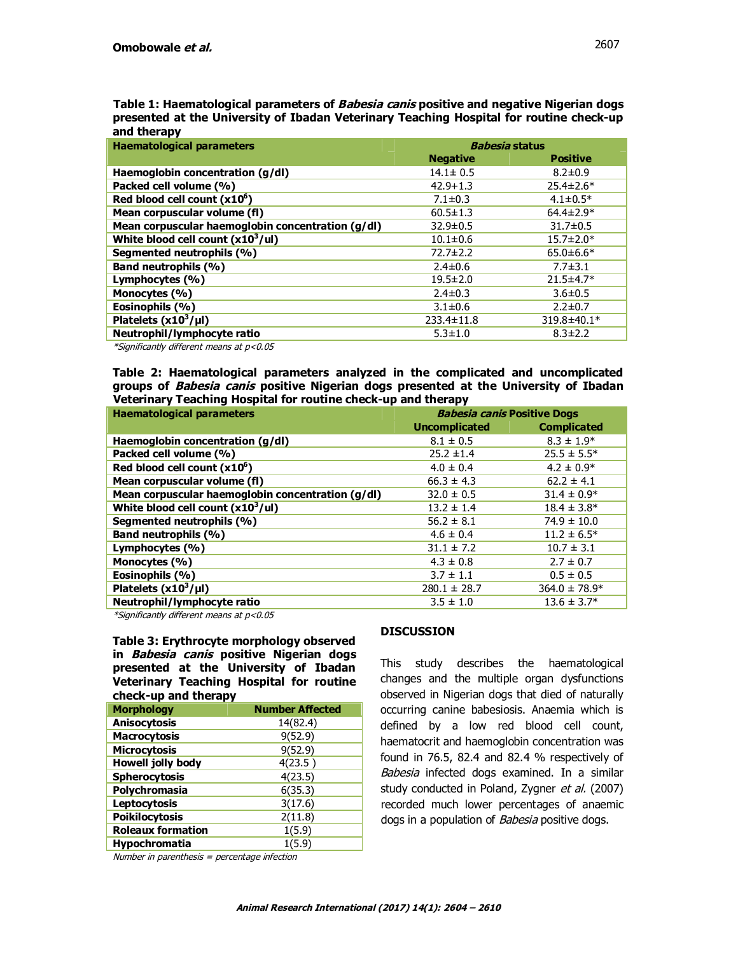| Table 1: Haematological parameters of <i>Babesia canis</i> positive and negative Nigerian dogs |
|------------------------------------------------------------------------------------------------|
| presented at the University of Ibadan Veterinary Teaching Hospital for routine check-up        |
| and therapy                                                                                    |

| <b>Haematological parameters</b>                  | <b>Babesia status</b> |                 |
|---------------------------------------------------|-----------------------|-----------------|
|                                                   | <b>Negative</b>       | <b>Positive</b> |
| Haemoglobin concentration (g/dl)                  | $14.1 \pm 0.5$        | $8.2 \pm 0.9$   |
| Packed cell volume (%)                            | $42.9 + 1.3$          | $25.4 \pm 2.6*$ |
| Red blood cell count $(x106)$                     | $7.1 \pm 0.3$         | $4.1 \pm 0.5*$  |
| Mean corpuscular volume (fl)                      | $60.5 \pm 1.3$        | $64.4 \pm 2.9*$ |
| Mean corpuscular haemoglobin concentration (g/dl) | $32.9 \pm 0.5$        | $31.7 \pm 0.5$  |
| White blood cell count $(x10^3/$ ul)              | $10.1 \pm 0.6$        | $15.7 \pm 2.0*$ |
| Segmented neutrophils (%)                         | $72.7 \pm 2.2$        | $65.0 \pm 6.6*$ |
| <b>Band neutrophils (%)</b>                       | $2.4 \pm 0.6$         | $7.7 \pm 3.1$   |
| Lymphocytes (%)                                   | $19.5 \pm 2.0$        | $21.5 \pm 4.7*$ |
| Monocytes (%)                                     | $2.4 \pm 0.3$         | $3.6 \pm 0.5$   |
| Eosinophils (%)                                   | $3.1 \pm 0.6$         | $2.2 \pm 0.7$   |
| Platelets $(x10^3/\mu l)$                         | $233.4 \pm 11.8$      | 319.8±40.1*     |
| Neutrophil/lymphocyte ratio                       | $5.3 \pm 1.0$         | $8.3 \pm 2.2$   |

\*Significantly different means at p<0.05

**Table 2: Haematological parameters analyzed in the complicated and uncomplicated groups of Babesia canis positive Nigerian dogs presented at the University of Ibadan Veterinary Teaching Hospital for routine check-up and therapy**

| <b>Haematological parameters</b>                  | <b>Babesia canis Positive Dogs</b> |                    |
|---------------------------------------------------|------------------------------------|--------------------|
|                                                   | <b>Uncomplicated</b>               | <b>Complicated</b> |
| Haemoglobin concentration (g/dl)                  | $8.1 \pm 0.5$                      | $8.3 \pm 1.9*$     |
| Packed cell volume (%)                            | $25.2 \pm 1.4$                     | $25.5 \pm 5.5^*$   |
| Red blood cell count $(x10^6)$                    | $4.0 \pm 0.4$                      | $4.2 \pm 0.9*$     |
| Mean corpuscular volume (fl)                      | $66.3 \pm 4.3$                     | $62.2 \pm 4.1$     |
| Mean corpuscular haemoglobin concentration (g/dl) | $32.0 \pm 0.5$                     | $31.4 \pm 0.9*$    |
| White blood cell count $(x10^3/$ ul)              | $13.2 \pm 1.4$                     | $18.4 \pm 3.8^*$   |
| Segmented neutrophils (%)                         | $56.2 \pm 8.1$                     | $74.9 \pm 10.0$    |
| <b>Band neutrophils (%)</b>                       | $4.6 \pm 0.4$                      | $11.2 \pm 6.5^*$   |
| Lymphocytes (%)                                   | $31.1 \pm 7.2$                     | $10.7 \pm 3.1$     |
| Monocytes (%)                                     | $4.3 \pm 0.8$                      | $2.7 \pm 0.7$      |
| Eosinophils (%)                                   | $3.7 \pm 1.1$                      | $0.5 \pm 0.5$      |
| Platelets $(x10^3/\mu l)$                         | $280.1 \pm 28.7$                   | $364.0 \pm 78.9*$  |
| Neutrophil/lymphocyte ratio                       | $3.5 \pm 1.0$                      | $13.6 \pm 3.7*$    |

\*Significantly different means at p<0.05

**Table 3: Erythrocyte morphology observed in Babesia canis positive Nigerian dogs presented at the University of Ibadan Veterinary Teaching Hospital for routine check-up and therapy**

| <b>Morphology</b>        | <b>Number Affected</b> |
|--------------------------|------------------------|
| <b>Anisocytosis</b>      | 14(82.4)               |
| <b>Macrocytosis</b>      | 9(52.9)                |
| <b>Microcytosis</b>      | 9(52.9)                |
| <b>Howell jolly body</b> | 4(23.5)                |
| <b>Spherocytosis</b>     | 4(23.5)                |
| Polychromasia            | 6(35.3)                |
| <b>Leptocytosis</b>      | 3(17.6)                |
| <b>Poikilocytosis</b>    | 2(11.8)                |
| <b>Roleaux formation</b> | 1(5.9)                 |
| <b>Hypochromatia</b>     | 1(5.9)                 |

# **DISCUSSION**

This study describes the haematological changes and the multiple organ dysfunctions observed in Nigerian dogs that died of naturally occurring canine babesiosis. Anaemia which is defined by a low red blood cell count, haematocrit and haemoglobin concentration was found in 76.5, 82.4 and 82.4 % respectively of Babesia infected dogs examined. In a similar study conducted in Poland, Zygner et al. (2007) recorded much lower percentages of anaemic dogs in a population of Babesia positive dogs.

Number in parenthesis = percentage infection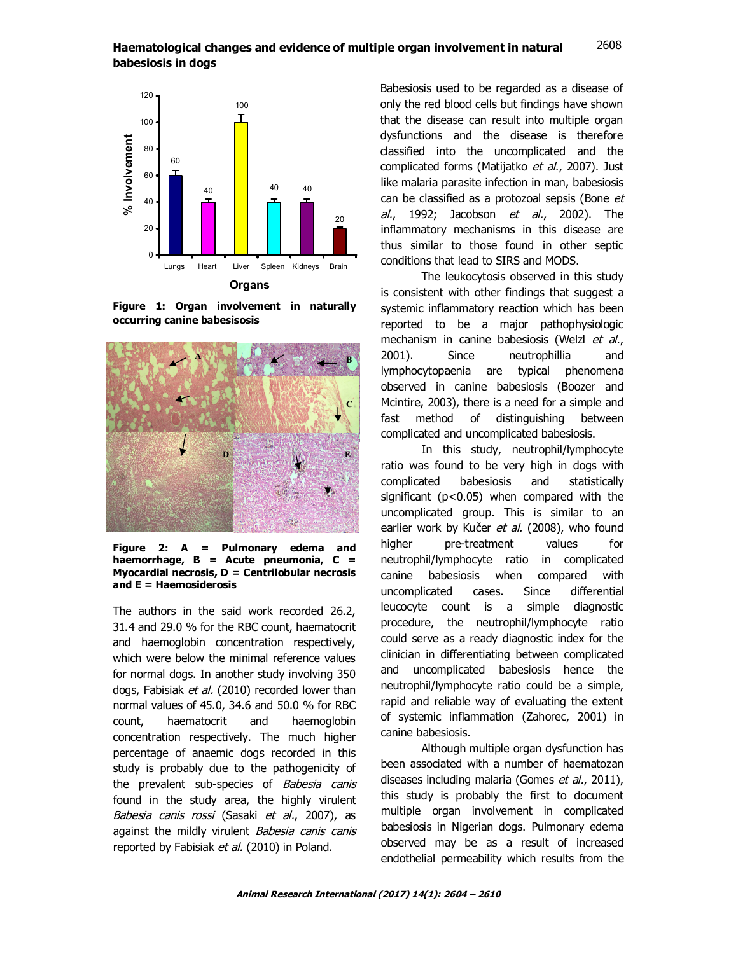#### **Haematological changes and evidence of multiple organ involvement in natural** 2606 **babesiosis in dogs** 2608



**Figure 1: Organ involvement in naturally occurring canine babesisosis**



**Figure 2: A = Pulmonary edema and haemorrhage, B = Acute pneumonia, C = Myocardial necrosis, D = Centrilobular necrosis and E = Haemosiderosis**

The authors in the said work recorded 26.2, 31.4 and 29.0 % for the RBC count, haematocrit and haemoglobin concentration respectively, which were below the minimal reference values for normal dogs. In another study involving 350 dogs, Fabisiak et al. (2010) recorded lower than normal values of 45.0, 34.6 and 50.0 % for RBC count, haematocrit and haemoglobin concentration respectively. The much higher percentage of anaemic dogs recorded in this study is probably due to the pathogenicity of the prevalent sub-species of Babesia canis found in the study area, the highly virulent Babesia canis rossi (Sasaki et al., 2007), as against the mildly virulent Babesia canis canis reported by Fabisiak et al. (2010) in Poland.

Babesiosis used to be regarded as a disease of only the red blood cells but findings have shown that the disease can result into multiple organ dysfunctions and the disease is therefore classified into the uncomplicated and the complicated forms (Matijatko et al., 2007). Just like malaria parasite infection in man, babesiosis can be classified as a protozoal sepsis (Bone et al., 1992; Jacobson et al., 2002). The inflammatory mechanisms in this disease are thus similar to those found in other septic conditions that lead to SIRS and MODS.

The leukocytosis observed in this study is consistent with other findings that suggest a systemic inflammatory reaction which has been reported to be a major pathophysiologic mechanism in canine babesiosis (Welzl et al., 2001). Since neutrophillia and lymphocytopaenia are typical phenomena observed in canine babesiosis (Boozer and Mcintire, 2003), there is a need for a simple and fast method of distinguishing between complicated and uncomplicated babesiosis.

In this study, neutrophil/lymphocyte ratio was found to be very high in dogs with complicated babesiosis and statistically significant (p<0.05) when compared with the uncomplicated group. This is similar to an earlier work by Kučer et al. (2008), who found higher pre-treatment values for neutrophil/lymphocyte ratio in complicated canine babesiosis when compared with uncomplicated cases. Since differential leucocyte count is a simple diagnostic procedure, the neutrophil/lymphocyte ratio could serve as a ready diagnostic index for the clinician in differentiating between complicated and uncomplicated babesiosis hence the neutrophil/lymphocyte ratio could be a simple, rapid and reliable way of evaluating the extent of systemic inflammation (Zahorec, 2001) in canine babesiosis.

Although multiple organ dysfunction has been associated with a number of haematozan diseases including malaria (Gomes et al., 2011), this study is probably the first to document multiple organ involvement in complicated babesiosis in Nigerian dogs. Pulmonary edema observed may be as a result of increased endothelial permeability which results from the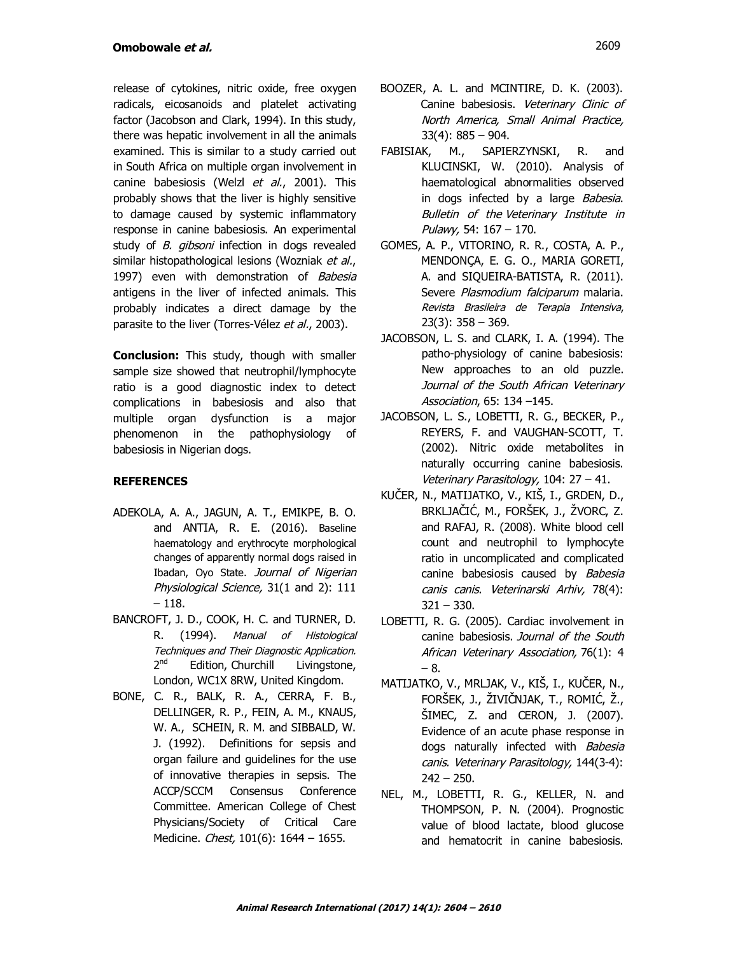release of cytokines, nitric oxide, free oxygen radicals, eicosanoids and platelet activating factor (Jacobson and Clark, 1994). In this study, there was hepatic involvement in all the animals examined. This is similar to a study carried out in South Africa on multiple organ involvement in canine babesiosis (Welzl et al., 2001). This probably shows that the liver is highly sensitive to damage caused by systemic inflammatory response in canine babesiosis. An experimental study of *B. gibsoni* infection in dogs revealed similar histopathological lesions (Wozniak et al., 1997) even with demonstration of Babesia antigens in the liver of infected animals. This probably indicates a direct damage by the parasite to the liver (Torres-Vélez et al., 2003).

**Conclusion:** This study, though with smaller sample size showed that neutrophil/lymphocyte ratio is a good diagnostic index to detect complications in babesiosis and also that multiple organ dysfunction is a major phenomenon in the pathophysiology of babesiosis in Nigerian dogs.

# **REFERENCES**

- ADEKOLA, A. A., JAGUN, A. T., EMIKPE, B. O. and ANTIA, R. E. (2016). Baseline haematology and erythrocyte morphological changes of apparently normal dogs raised in Ibadan, Oyo State. Journal of Nigerian Physiological Science, 31(1 and 2): 111 – 118.
- BANCROFT, J. D., COOK, H. C. and TURNER, D. R. (1994). Manual of Histological Techniques and Their Diagnostic Application.  $2<sup>nd</sup>$ Edition, Churchill Livingstone, London, WC1X 8RW, United Kingdom.
- BONE, C. R., BALK, R. A., CERRA, F. B., DELLINGER, R. P., FEIN, A. M., KNAUS, W. A., SCHEIN, R. M. and SIBBALD, W. J. (1992). Definitions for sepsis and organ failure and guidelines for the use of innovative therapies in sepsis. The ACCP/SCCM Consensus Conference Committee. American College of Chest Physicians/Society of Critical Care Medicine. *Chest*, 101(6): 1644 - 1655.
- BOOZER, A. L. and MCINTIRE, D. K. (2003). Canine babesiosis. Veterinary Clinic of North America, Small Animal Practice, 33(4): 885 – 904.
- FABISIAK, M., SAPIERZYNSKI, R. and KLUCINSKI, W. (2010). Analysis of haematological abnormalities observed in dogs infected by a large Babesia. Bulletin of the Veterinary Institute in Pulawy, 54: 167 – 170.
- GOMES, A. P., VITORINO, R. R., COSTA, A. P., MENDONÇA, E. G. O., MARIA GORETI, A. and SIQUEIRA-BATISTA, R. (2011). Severe Plasmodium falciparum malaria. Revista Brasileira de Terapia Intensiva, 23(3): 358 – 369.
- JACOBSON, L. S. and CLARK, I. A. (1994). The patho-physiology of canine babesiosis: New approaches to an old puzzle. Journal of the South African Veterinary Association, 65: 134 –145.
- JACOBSON, L. S., LOBETTI, R. G., BECKER, P., REYERS, F. and VAUGHAN-SCOTT, T. (2002). Nitric oxide metabolites in naturally occurring canine babesiosis. Veterinary Parasitology, 104: 27 – 41.
- KUČER, N., MATIJATKO, V., KIŠ, I., GRDEN, D., BRKLJAČIĆ, M., FORŠEK, J., ŽVORC, Z. and RAFAJ, R. (2008). White blood cell count and neutrophil to lymphocyte ratio in uncomplicated and complicated canine babesiosis caused by Babesia canis canis. Veterinarski Arhiv, 78(4): 321 – 330.
- LOBETTI, R. G. (2005). Cardiac involvement in canine babesiosis. Journal of the South African Veterinary Association, 76(1): 4 – 8.
- MATIJATKO, V., MRLJAK, V., KIŠ, I., KUČER, N., FORŠEK, J., ŽIVIČNJAK, T., ROMIĆ, Ž., ŠIMEC, Z. and CERON, J. (2007). Evidence of an acute phase response in dogs naturally infected with **Babesia** canis. Veterinary Parasitology, 144(3-4):  $242 - 250$ .
- NEL, M., LOBETTI, R. G., KELLER, N. and THOMPSON, P. N. (2004). Prognostic value of blood lactate, blood glucose and hematocrit in canine babesiosis.